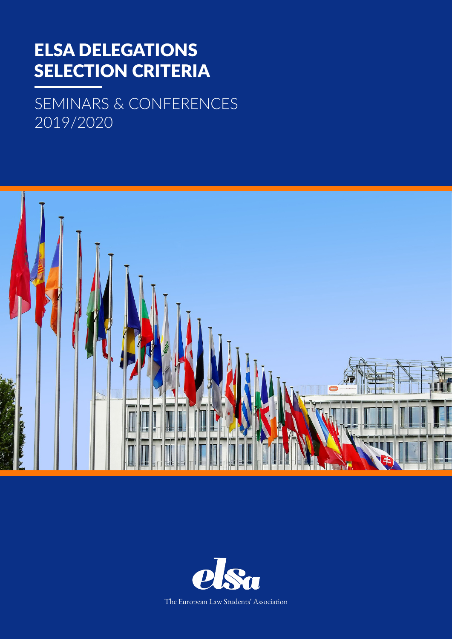## ELSA DELEGATIONS SELECTION CRITERIA

SEMINARS & CONFERENCES 2019/2020



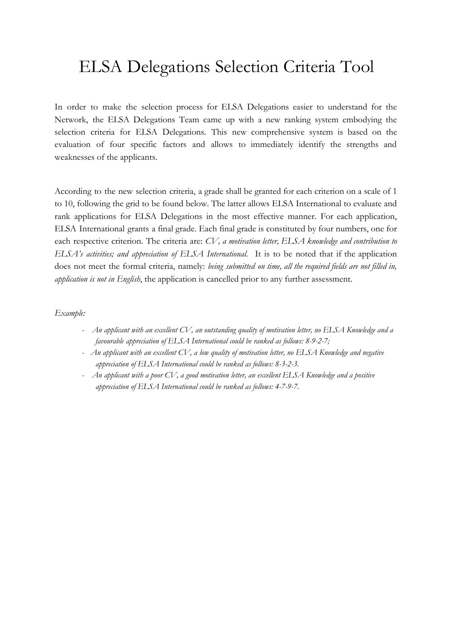## ELSA Delegations Selection Criteria Tool

In order to make the selection process for ELSA Delegations easier to understand for the Network, the ELSA Delegations Team came up with a new ranking system embodying the selection criteria for ELSA Delegations. This new comprehensive system is based on the evaluation of four specific factors and allows to immediately identify the strengths and weaknesses of the applicants.

According to the new selection criteria, a grade shall be granted for each criterion on a scale of 1 to 10, following the grid to be found below. The latter allows ELSA International to evaluate and rank applications for ELSA Delegations in the most effective manner. For each application, ELSA International grants a final grade. Each final grade is constituted by four numbers, one for each respective criterion. The criteria are: *CV, a motivation letter, ELSA knowledge and contribution to ELSA's activities; and appreciation of ELSA International.* It is to be noted that if the application does not meet the formal criteria, namely: *being submitted on time, all the required fields are not filled in, application is not in English*, the application is cancelled prior to any further assessment.

*Example:*

- An applicant with an excellent CV, an outstanding quality of motivation letter, no ELSA Knowledge and a *favourable appreciation of ELSA International could be ranked as follows: 8-9-2-7;*
- An applicant with an excellent CV, a low quality of motivation letter, no ELSA Knowledge and negative *appreciation of ELSA International could be ranked as follows: 8-3-2-3.*
- An applicant with a poor CV, a good motivation letter, an excellent ELSA Knowledge and a positive *appreciation of ELSA International could be ranked as follows: 4-7-9-7.*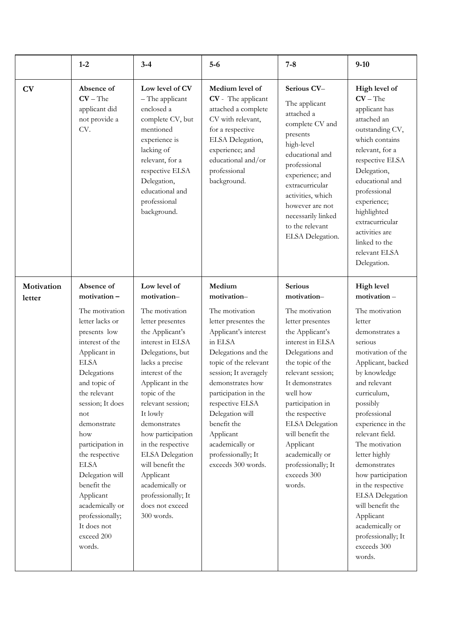|                      | $1-2$                                                                                                                                                                                                                                                                                                                                                                                                             | $3 - 4$                                                                                                                                                                                                                                                                                                                                                                                                                                | $5-6$                                                                                                                                                                                                                                                                                                                                                    | $7 - 8$                                                                                                                                                                                                                                                                                                                                                                  | $9 - 10$                                                                                                                                                                                                                                                                                                                                                                                                                                                                         |
|----------------------|-------------------------------------------------------------------------------------------------------------------------------------------------------------------------------------------------------------------------------------------------------------------------------------------------------------------------------------------------------------------------------------------------------------------|----------------------------------------------------------------------------------------------------------------------------------------------------------------------------------------------------------------------------------------------------------------------------------------------------------------------------------------------------------------------------------------------------------------------------------------|----------------------------------------------------------------------------------------------------------------------------------------------------------------------------------------------------------------------------------------------------------------------------------------------------------------------------------------------------------|--------------------------------------------------------------------------------------------------------------------------------------------------------------------------------------------------------------------------------------------------------------------------------------------------------------------------------------------------------------------------|----------------------------------------------------------------------------------------------------------------------------------------------------------------------------------------------------------------------------------------------------------------------------------------------------------------------------------------------------------------------------------------------------------------------------------------------------------------------------------|
| CV                   | Absence of<br>$CV$ – The<br>applicant did<br>not provide a<br>CV.                                                                                                                                                                                                                                                                                                                                                 | Low level of CV<br>- The applicant<br>enclosed a<br>complete CV, but<br>mentioned<br>experience is<br>lacking of<br>relevant, for a<br>respective ELSA<br>Delegation,<br>educational and<br>professional<br>background.                                                                                                                                                                                                                | Medium level of<br>CV - The applicant<br>attached a complete<br>CV with relevant,<br>for a respective<br>ELSA Delegation,<br>experience; and<br>educational and/or<br>professional<br>background.                                                                                                                                                        | Serious CV-<br>The applicant<br>attached a<br>complete CV and<br>presents<br>high-level<br>educational and<br>professional<br>experience; and<br>extracurricular<br>activities, which<br>however are not<br>necessarily linked<br>to the relevant<br>ELSA Delegation.                                                                                                    | High level of<br>$CV$ – The<br>applicant has<br>attached an<br>outstanding CV,<br>which contains<br>relevant, for a<br>respective ELSA<br>Delegation,<br>educational and<br>professional<br>experience;<br>highlighted<br>extracurricular<br>activities are<br>linked to the<br>relevant ELSA<br>Delegation.                                                                                                                                                                     |
| Motivation<br>letter | Absence of<br>motivation-<br>The motivation<br>letter lacks or<br>presents low<br>interest of the<br>Applicant in<br><b>ELSA</b><br>Delegations<br>and topic of<br>the relevant<br>session; It does<br>not<br>demonstrate<br>how<br>participation in<br>the respective<br><b>ELSA</b><br>Delegation will<br>benefit the<br>Applicant<br>academically or<br>professionally;<br>It does not<br>exceed 200<br>words. | Low level of<br>motivation-<br>The motivation<br>letter presentes<br>the Applicant's<br>interest in ELSA<br>Delegations, but<br>lacks a precise<br>interest of the<br>Applicant in the<br>topic of the<br>relevant session;<br>It lowly<br>demonstrates<br>how participation<br>in the respective<br><b>ELSA</b> Delegation<br>will benefit the<br>Applicant<br>academically or<br>professionally; It<br>does not exceed<br>300 words. | Medium<br>motivation-<br>The motivation<br>letter presentes the<br>Applicant's interest<br>in ELSA<br>Delegations and the<br>topic of the relevant<br>session; It averagely<br>demonstrates how<br>participation in the<br>respective ELSA<br>Delegation will<br>benefit the<br>Applicant<br>academically or<br>professionally; It<br>exceeds 300 words. | <b>Serious</b><br>motivation-<br>The motivation<br>letter presentes<br>the Applicant's<br>interest in ELSA<br>Delegations and<br>the topic of the<br>relevant session;<br>It demonstrates<br>well how<br>participation in<br>the respective<br><b>ELSA</b> Delegation<br>will benefit the<br>Applicant<br>academically or<br>professionally; It<br>exceeds 300<br>words. | <b>High level</b><br>motivation-<br>The motivation<br>letter<br>demonstrates a<br>serious<br>motivation of the<br>Applicant, backed<br>by knowledge<br>and relevant<br>curriculum,<br>possibly<br>professional<br>experience in the<br>relevant field.<br>The motivation<br>letter highly<br>demonstrates<br>how participation<br>in the respective<br><b>ELSA</b> Delegation<br>will benefit the<br>Applicant<br>academically or<br>professionally; It<br>exceeds 300<br>words. |